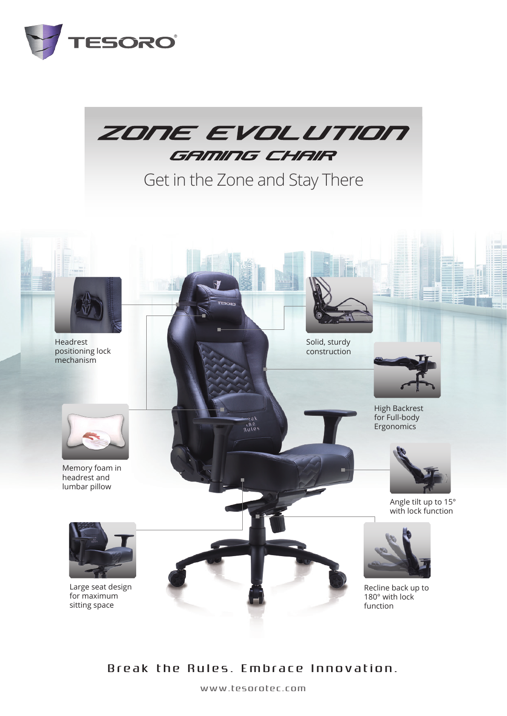



Get in the Zone and Stay There



## Break the Rules. Embrace Innovation.